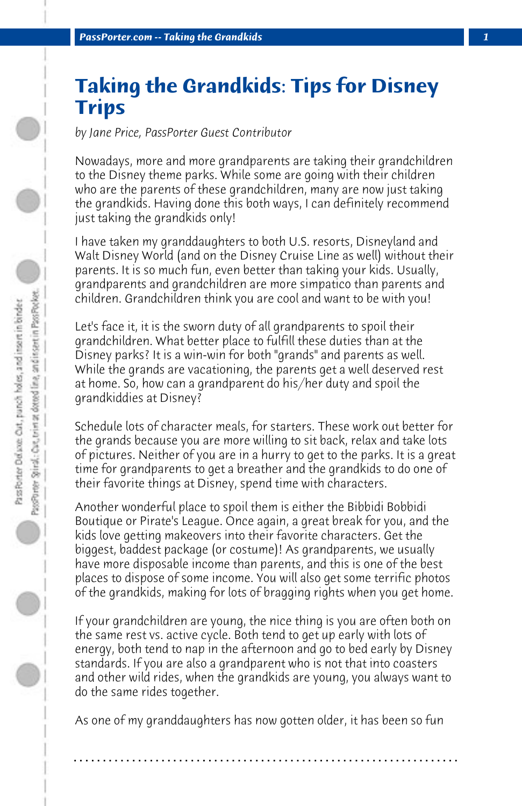## **Taking the Grandkids: Tips for Disney Trips**

*by Jane Price, PassPorter Guest Contributor*

Nowadays, more and more grandparents are taking their grandchildren to the Disney theme parks. While some are going with their children who are the parents of these grandchildren, many are now just taking the grandkids. Having done this both ways, I can definitely recommend just taking the grandkids only!

I have taken my granddaughters to both U.S. resorts, Disneyland and Walt Disney World (and on the Disney Cruise Line as well) without their parents. It is so much fun, even better than taking your kids. Usually, grandparents and grandchildren are more simpatico than parents and children. Grandchildren think you are cool and want to be with you!

Let's face it, it is the sworn duty of all grandparents to spoil their grandchildren. What better place to fulfill these duties than at the Disney parks? It is a win-win for both "grands" and parents as well. While the grands are vacationing, the parents get a well deserved rest at home. So, how can a grandparent do his/her duty and spoil the grandkiddies at Disney?

Schedule lots of character meals, for starters. These work out better for the grands because you are more willing to sit back, relax and take lots of pictures. Neither of you are in a hurry to get to the parks. It is a great time for grandparents to get a breather and the grandkids to do one of their favorite things at Disney, spend time with characters.

Another wonderful place to spoil them is either the Bibbidi Bobbidi Boutique or Pirate's League. Once again, a great break for you, and the kids love getting makeovers into their favorite characters. Get the biggest, baddest package (or costume)! As grandparents, we usually have more disposable income than parents, and this is one of the best places to dispose of some income. You will also get some terrific photos of the grandkids, making for lots of bragging rights when you get home.

If your grandchildren are young, the nice thing is you are often both on the same rest vs. active cycle. Both tend to get up early with lots of energy, both tend to nap in the afternoon and go to bed early by Disney standards. If you are also a grandparent who is not that into coasters and other wild rides, when the grandkids are young, you always want to do the same rides together.

As one of my granddaughters has now gotten older, it has been so fun

**. . . . . . . . . . . . . . . . . . . . . . . . . . . . . . . . . . . . . . . . . . . . . . . . . . . . . . . . . . . . . . . . . .**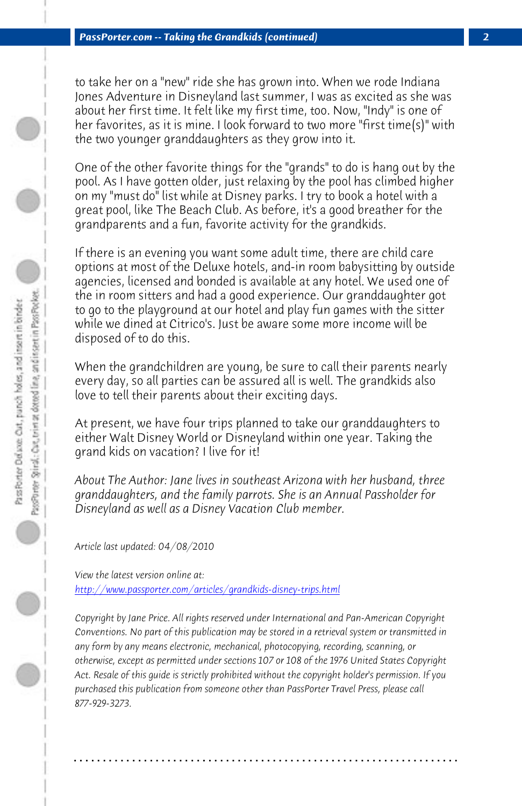*PassPorter.com -- Taking the Grandkids (continued) 2*

to take her on a "new" ride she has grown into. When we rode Indiana Jones Adventure in Disneyland last summer, I was as excited as she was about her first time. It felt like my first time, too. Now, "Indy" is one of her favorites, as it is mine. I look forward to two more "first time(s)" with the two younger granddaughters as they grow into it.

One of the other favorite things for the "grands" to do is hang out by the pool. As I have gotten older, just relaxing by the pool has climbed higher on my "must do" list while at Disney parks. I try to book a hotel with a great pool, like The Beach Club. As before, it's a good breather for the grandparents and a fun, favorite activity for the grandkids.

If there is an evening you want some adult time, there are child care options at most of the Deluxe hotels, and-in room babysitting by outside agencies, licensed and bonded is available at any hotel. We used one of the in room sitters and had a good experience. Our granddaughter got to go to the playground at our hotel and play fun games with the sitter while we dined at Citrico's. Just be aware some more income will be disposed of to do this.

When the grandchildren are young, be sure to call their parents nearly every day, so all parties can be assured all is well. The grandkids also love to tell their parents about their exciting days.

At present, we have four trips planned to take our granddaughters to either Walt Disney World or Disneyland within one year. Taking the grand kids on vacation? I live for it!

*About The Author: Jane lives in southeast Arizona with her husband, three granddaughters, and the family parrots. She is an Annual Passholder for Disneyland as well as a Disney Vacation Club member.*

*Article last updated: 04/08/2010*

*View the latest version online at: http://www.passporter.com/articles/grandkids-disney-trips.html*

*Copyright by Jane Price. All rights reserved under International and Pan-American Copyright Conventions. No part of this publication may be stored in a retrieval system or transmitted in any form by any means electronic, mechanical, photocopying, recording, scanning, or otherwise, except as permitted under sections 107 or 108 of the 1976 United States Copyright Act. Resale of this guide is strictly prohibited without the copyright holder's permission. If you purchased this publication from someone other than PassPorter Travel Press, please call 877-929-3273.*

**. . . . . . . . . . . . . . . . . . . . . . . . . . . . . . . . . . . . . . . . . . . . . . . . . . . . . . . . . . . . . . . . . .**